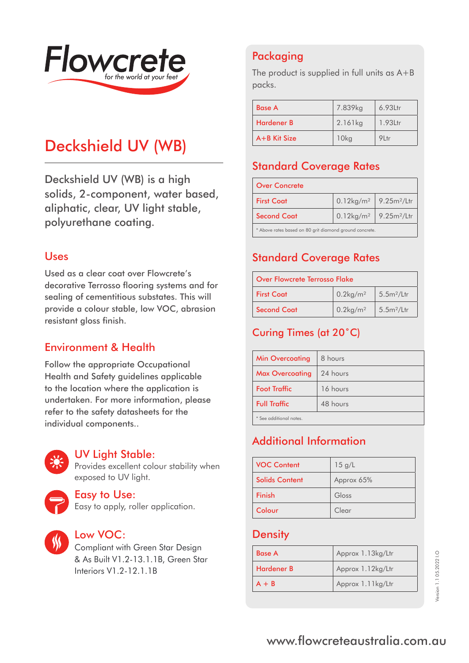

# Deckshield UV (WB)

Deckshield UV (WB) is a high solids, 2-component, water based, aliphatic, clear, UV light stable, polyurethane coating.

#### Uses

Used as a clear coat over Flowcrete's decorative Terrosso flooring systems and for sealing of cementitious substates. This will provide a colour stable, low VOC, abrasion resistant gloss finish.

### Environment & Health

Follow the appropriate Occupational Health and Safety guidelines applicable to the location where the application is undertaken. For more information, please refer to the safety datasheets for the individual components..



#### UV Light Stable:

Provides excellent colour stability when exposed to UV light.



#### Easy to Use:

Easy to apply, roller application.



#### Low VOC:

Compliant with Green Star Design & As Built V1.2-13.1.1B, Green Star Interiors V1.2-12.1.1B

# Packaging

The product is supplied in full units as A+B packs.

| <b>Base A</b>     | 7.839kg | $6.93$ Ltr |
|-------------------|---------|------------|
| <b>Hardener B</b> | 2.161kg | 1.93Ltr    |
| $A + B$ Kit Size  | 10kg    | 91 tr      |

### Standard Coverage Rates

| <b>Over Concrete</b>                                              |                                             |  |
|-------------------------------------------------------------------|---------------------------------------------|--|
| <b>First Coat</b>                                                 | $0.12\text{kg/m}^2$ 9.25m <sup>2</sup> /Ltr |  |
| $0.12\text{kg/m}^2$ 9.25m <sup>2</sup> /Ltr<br><b>Second Coat</b> |                                             |  |
| * Above rates based on 80 grit diamond ground concrete.           |                                             |  |

### Standard Coverage Rates

| Over Flowcrete Terrosso Flake |                         |                        |
|-------------------------------|-------------------------|------------------------|
| <b>First Coat</b>             | $0.2$ kg/m <sup>2</sup> | 5.5m <sup>2</sup> /Ltr |
| <b>Second Coat</b>            | $0.2$ kg/m <sup>2</sup> | 5.5m <sup>2</sup> /Ltr |

# Curing Times (at 20˚C)

| <b>Min Overcoating</b>   | 8 hours  |
|--------------------------|----------|
| <b>Max Overcoating</b>   | 24 hours |
| <b>Foot Traffic</b>      | 16 hours |
| <b>Full Traffic</b>      | 48 hours |
| $*$ See additional notes |          |

\* See additional notes.

# Additional Information

| <b>VOC Content</b>    | 15 g/L     |
|-----------------------|------------|
| <b>Solids Content</b> | Approx 65% |
| Finish                | Gloss      |
| Colour                | Clear      |

### **Density**

| <b>Base A</b>     | Approx 1.13kg/Ltr |
|-------------------|-------------------|
| <b>Hardener B</b> | Approx 1.12kg/Ltr |
| $A + B$           | Approx 1.11kg/Ltr |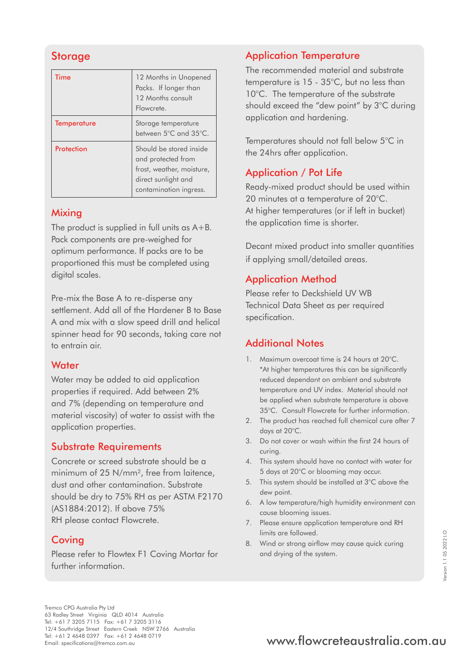# **Storage**

| Time               | 12 Months in Unopened<br>Packs. If longer than<br>12 Months consult<br>Flowcrete.                                           |
|--------------------|-----------------------------------------------------------------------------------------------------------------------------|
| <b>Temperature</b> | Storage temperature<br>between 5°C and 35°C.                                                                                |
| Protection         | Should be stored inside<br>and protected from<br>frost, weather, moisture,<br>direct sunlight and<br>contamination ingress. |

#### **Mixing**

The product is supplied in full units as A+B. Pack components are pre-weighed for optimum performance. If packs are to be proportioned this must be completed using digital scales.

Pre-mix the Base A to re-disperse any settlement. Add all of the Hardener B to Base A and mix with a slow speed drill and helical spinner head for 90 seconds, taking care not to entrain air.

#### **Water**

Water may be added to aid application properties if required. Add between 2% and 7% (depending on temperature and material viscosity) of water to assist with the application properties.

### Substrate Requirements

Concrete or screed substrate should be a minimum of 25 N/mm², free from laitence, dust and other contamination. Substrate should be dry to 75% RH as per ASTM F2170 (AS1884:2012). If above 75% RH please contact Flowcrete.

### **Coving**

Please refer to Flowtex F1 Coving Mortar for further information.

# Application Temperature

The recommended material and substrate temperature is 15 - 35°C, but no less than 10°C. The temperature of the substrate should exceed the "dew point" by 3°C during application and hardening.

Temperatures should not fall below 5°C in the 24hrs after application.

# Application / Pot Life

Ready-mixed product should be used within 20 minutes at a temperature of 20°C. At higher temperatures (or if left in bucket) the application time is shorter.

Decant mixed product into smaller quantities if applying small/detailed areas.

### Application Method

Please refer to Deckshield UV WB Technical Data Sheet as per required specification.

## Additional Notes

- 1. Maximum overcoat time is 24 hours at 20°C. \*At higher temperatures this can be significantly reduced dependant on ambient and substrate temperature and UV index. Material should not be applied when substrate temperature is above 35°C. Consult Flowcrete for further information.
- 2. The product has reached full chemical cure after 7 days at 20°C.
- 3. Do not cover or wash within the first 24 hours of curing.
- 4. This system should have no contact with water for 5 days at 20°C or blooming may occur.
- 5. This system should be installed at 3°C above the dew point.
- 6. A low temperature/high humidity environment can cause blooming issues.
- 7. Please ensure application temperature and RH limits are followed.
- 8. Wind or strong airflow may cause quick curing and drying of the system.

Tremco CPG Australia Pty Ltd 63 Radley Street Virginia QLD 4014 Australia Tel: +61 7 3205 7115 Fax: +61 7 3205 3116 12/4 Southridge Street Eastern Creek NSW 2766 Australia Tel: +61 2 4648 0397 Fax: +61 2 4648 0719<br>Email: specifications@tremco.com.au

# www.flowcreteaustralia.com.au